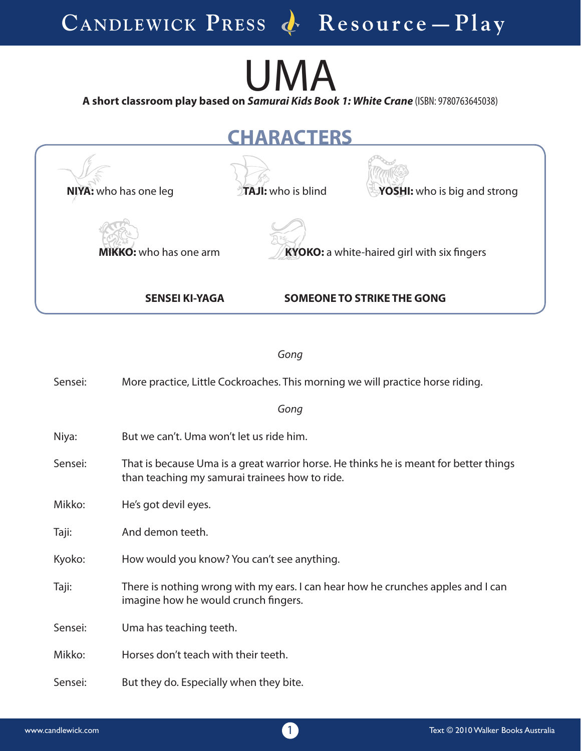## UMA

**A short classroom play based on**  *Samurai Kids Book 1: White Crane* (ISBN: 9780763645038)

**NIYA:** who has one leg **TAJI:** who is blind **YOSHI:** who is big and strong **MIKKO:** who has one arm **KYOKO:** a white-haired girl with six fingers **CHARACTERS**

*Gong*

**SENSEI KI-YAGA SOMEONE TO STRIKE THE GONG**

| Sensei: | More practice, Little Cockroaches. This morning we will practice horse riding.                                                          |
|---------|-----------------------------------------------------------------------------------------------------------------------------------------|
|         | Gong                                                                                                                                    |
| Niya:   | But we can't. Uma won't let us ride him.                                                                                                |
| Sensei: | That is because Uma is a great warrior horse. He thinks he is meant for better things<br>than teaching my samurai trainees how to ride. |
| Mikko:  | He's got devil eyes.                                                                                                                    |
| Taji:   | And demon teeth.                                                                                                                        |
| Kyoko:  | How would you know? You can't see anything.                                                                                             |
| Taji:   | There is nothing wrong with my ears. I can hear how he crunches apples and I can<br>imagine how he would crunch fingers.                |
| Sensei: | Uma has teaching teeth.                                                                                                                 |
| Mikko:  | Horses don't teach with their teeth.                                                                                                    |
| Sensei: | But they do. Especially when they bite.                                                                                                 |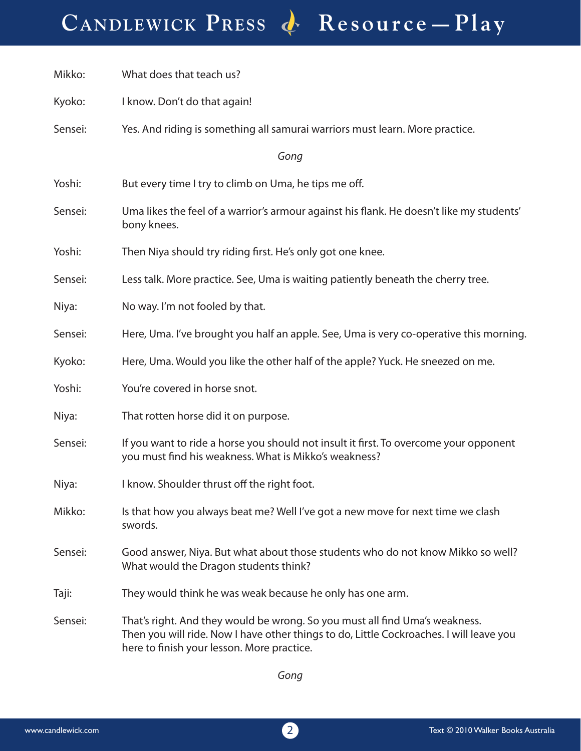CANDLEWICK PRESS & Resource - Play

| Mikko:  | What does that teach us?                                                                                                                                                                                             |
|---------|----------------------------------------------------------------------------------------------------------------------------------------------------------------------------------------------------------------------|
| Kyoko:  | I know. Don't do that again!                                                                                                                                                                                         |
| Sensei: | Yes. And riding is something all samurai warriors must learn. More practice.                                                                                                                                         |
|         | Gong                                                                                                                                                                                                                 |
| Yoshi:  | But every time I try to climb on Uma, he tips me off.                                                                                                                                                                |
| Sensei: | Uma likes the feel of a warrior's armour against his flank. He doesn't like my students'<br>bony knees.                                                                                                              |
| Yoshi:  | Then Niya should try riding first. He's only got one knee.                                                                                                                                                           |
| Sensei: | Less talk. More practice. See, Uma is waiting patiently beneath the cherry tree.                                                                                                                                     |
| Niya:   | No way. I'm not fooled by that.                                                                                                                                                                                      |
| Sensei: | Here, Uma. I've brought you half an apple. See, Uma is very co-operative this morning.                                                                                                                               |
| Kyoko:  | Here, Uma. Would you like the other half of the apple? Yuck. He sneezed on me.                                                                                                                                       |
| Yoshi:  | You're covered in horse snot.                                                                                                                                                                                        |
| Niya:   | That rotten horse did it on purpose.                                                                                                                                                                                 |
| Sensei: | If you want to ride a horse you should not insult it first. To overcome your opponent<br>you must find his weakness. What is Mikko's weakness?                                                                       |
| Niya:   | I know. Shoulder thrust off the right foot.                                                                                                                                                                          |
| Mikko:  | Is that how you always beat me? Well I've got a new move for next time we clash<br>swords.                                                                                                                           |
| Sensei: | Good answer, Niya. But what about those students who do not know Mikko so well?<br>What would the Dragon students think?                                                                                             |
| Taji:   | They would think he was weak because he only has one arm.                                                                                                                                                            |
| Sensei: | That's right. And they would be wrong. So you must all find Uma's weakness.<br>Then you will ride. Now I have other things to do, Little Cockroaches. I will leave you<br>here to finish your lesson. More practice. |

*Gong*